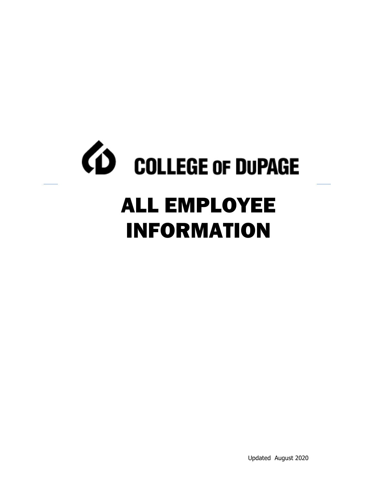# *CD* COLLEGE OF DUPAGE

## ALL EMPLOYEE INFORMATION

Updated August 2020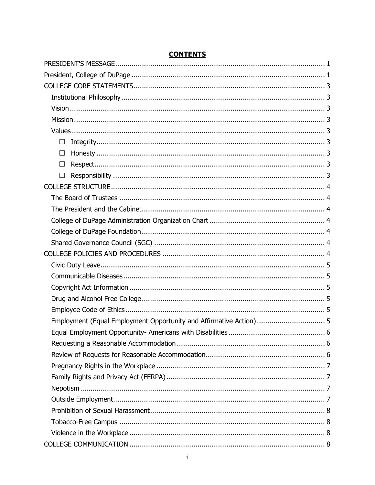| П                                                              |
|----------------------------------------------------------------|
| П                                                              |
| ΓI                                                             |
| П                                                              |
|                                                                |
|                                                                |
|                                                                |
|                                                                |
|                                                                |
|                                                                |
|                                                                |
|                                                                |
|                                                                |
|                                                                |
|                                                                |
|                                                                |
|                                                                |
| Equal Employment Opportunity- Americans with Disabilities<br>6 |
|                                                                |
|                                                                |
|                                                                |
|                                                                |
|                                                                |
|                                                                |
|                                                                |
|                                                                |
|                                                                |
|                                                                |

#### **CONTENTS**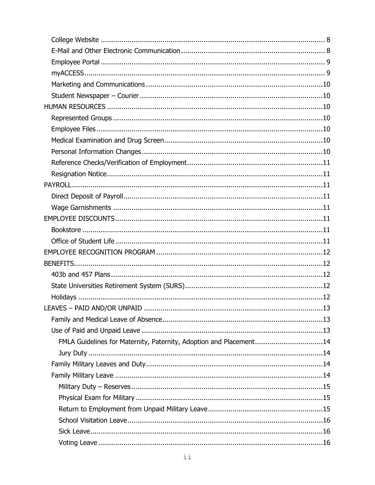| . 13                                                               |
|--------------------------------------------------------------------|
|                                                                    |
|                                                                    |
| FMLA Guidelines for Maternity, Paternity, Adoption and Placement14 |
|                                                                    |
|                                                                    |
|                                                                    |
|                                                                    |
|                                                                    |
|                                                                    |
|                                                                    |
|                                                                    |
|                                                                    |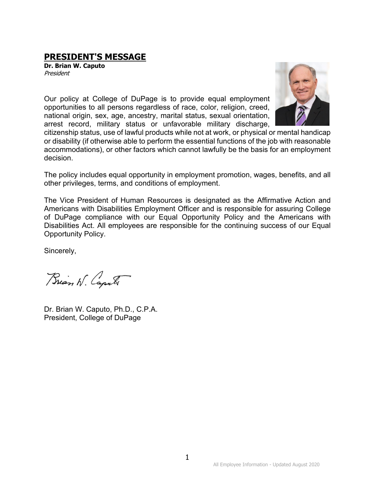### <span id="page-4-0"></span>**PRESIDENT'S MESSAGE Dr. Brian W. Caputo**

President



Our policy at College of DuPage is to provide equal employment opportunities to all persons regardless of race, color, religion, creed, national origin, sex, age, ancestry, marital status, sexual orientation, arrest record, military status or unfavorable military discharge,

citizenship status, use of lawful products while not at work, or physical or mental handicap or disability (if otherwise able to perform the essential functions of the job with reasonable accommodations), or other factors which cannot lawfully be the basis for an employment decision.

The policy includes equal opportunity in employment promotion, wages, benefits, and all other privileges, terms, and conditions of employment.

The Vice President of Human Resources is designated as the Affirmative Action and Americans with Disabilities Employment Officer and is responsible for assuring College of DuPage compliance with our Equal Opportunity Policy and the Americans with Disabilities Act. All employees are responsible for the continuing success of our Equal Opportunity Policy.

Sincerely,

Brian W. Capula

<span id="page-4-1"></span>Dr. Brian W. Caputo, Ph.D., C.P.A. President, College of DuPage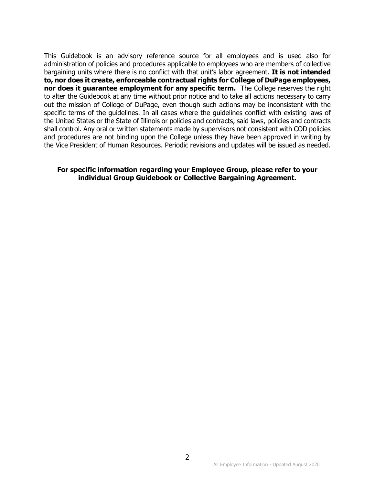This Guidebook is an advisory reference source for all employees and is used also for administration of policies and procedures applicable to employees who are members of collective bargaining units where there is no conflict with that unit's labor agreement. **It is not intended to, nor does it create, enforceable contractual rights for College of DuPage employees, nor does it guarantee employment for any specific term.** The College reserves the right to alter the Guidebook at any time without prior notice and to take all actions necessary to carry out the mission of College of DuPage, even though such actions may be inconsistent with the specific terms of the guidelines. In all cases where the guidelines conflict with existing laws of the United States or the State of Illinois or policies and contracts, said laws, policies and contracts shall control. Any oral or written statements made by supervisors not consistent with COD policies and procedures are not binding upon the College unless they have been approved in writing by the Vice President of Human Resources. Periodic revisions and updates will be issued as needed.

#### **For specific information regarding your Employee Group, please refer to your individual Group Guidebook or Collective Bargaining Agreement.**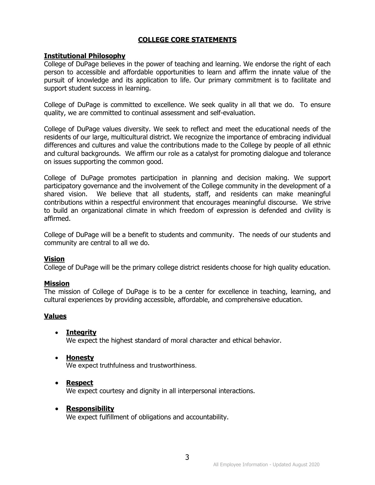#### **COLLEGE CORE STATEMENTS**

#### <span id="page-6-1"></span><span id="page-6-0"></span>**Institutional Philosophy**

College of DuPage believes in the power of teaching and learning. We endorse the right of each person to accessible and affordable opportunities to learn and affirm the innate value of the pursuit of knowledge and its application to life. Our primary commitment is to facilitate and support student success in learning.

College of DuPage is committed to excellence. We seek quality in all that we do. To ensure quality, we are committed to continual assessment and self-evaluation.

College of DuPage values diversity. We seek to reflect and meet the educational needs of the residents of our large, multicultural district. We recognize the importance of embracing individual differences and cultures and value the contributions made to the College by people of all ethnic and cultural backgrounds. We affirm our role as a catalyst for promoting dialogue and tolerance on issues supporting the common good.

College of DuPage promotes participation in planning and decision making. We support participatory governance and the involvement of the College community in the development of a shared vision. We believe that all students, staff, and residents can make meaningful contributions within a respectful environment that encourages meaningful discourse. We strive to build an organizational climate in which freedom of expression is defended and civility is affirmed.

College of DuPage will be a benefit to students and community. The needs of our students and community are central to all we do.

#### <span id="page-6-2"></span>**Vision**

College of DuPage will be the primary college district residents choose for high quality education.

#### <span id="page-6-3"></span>**Mission**

The mission of College of DuPage is to be a center for excellence in teaching, learning, and cultural experiences by providing accessible, affordable, and comprehensive education.

#### <span id="page-6-4"></span>**Values**

<span id="page-6-5"></span>• **Integrity**

We expect the highest standard of moral character and ethical behavior.

<span id="page-6-6"></span>• **Honesty**

We expect truthfulness and trustworthiness.

#### <span id="page-6-7"></span>• **Respect**

We expect courtesy and dignity in all interpersonal interactions.

#### <span id="page-6-8"></span>• **Responsibility**

We expect fulfillment of obligations and accountability.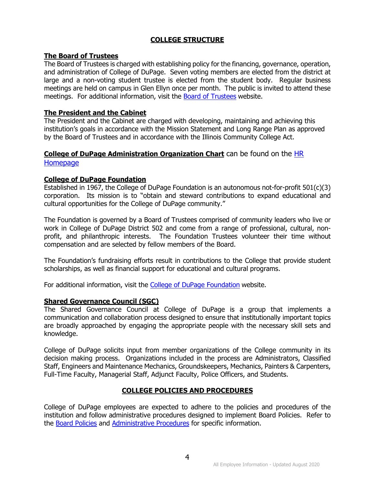#### **COLLEGE STRUCTURE**

#### <span id="page-7-1"></span><span id="page-7-0"></span>**The Board of Trustees**

The Board of Trustees is charged with establishing policy for the financing, governance, operation, and administration of College of DuPage. Seven voting members are elected from the district at large and a non-voting student trustee is elected from the student body. Regular business meetings are held on campus in Glen Ellyn once per month. The public is invited to attend these meetings. For additional information, visit the **Board of Trustees** website.

#### <span id="page-7-2"></span>**The President and the Cabinet**

The President and the Cabinet are charged with developing, maintaining and achieving this institution's goals in accordance with the Mission Statement and Long Range Plan as approved by the Board of Trustees and in accordance with the Illinois Community College Act.

#### <span id="page-7-3"></span>**College of DuPage Administration Organization Chart** can be found on the [HR](http://cod.edu/about/humanresources/index.aspx)  **[Homepage](http://cod.edu/about/humanresources/index.aspx)**

#### <span id="page-7-4"></span>**College of DuPage Foundation**

Established in 1967, the College of DuPage Foundation is an autonomous not-for-profit 501(c)(3) corporation. Its mission is to "obtain and steward contributions to expand educational and cultural opportunities for the College of DuPage community."

The Foundation is governed by a Board of Trustees comprised of community leaders who live or work in College of DuPage District 502 and come from a range of professional, cultural, nonprofit, and philanthropic interests. The Foundation Trustees volunteer their time without compensation and are selected by fellow members of the Board.

The Foundation's fundraising efforts result in contributions to the College that provide student scholarships, as well as financial support for educational and cultural programs.

For additional information, visit the [College of DuPage Foundation](http://www.cod.edu/foundation) website.

#### <span id="page-7-5"></span>**Shared Governance Council (SGC)**

The Shared Governance Council at College of DuPage is a group that implements a communication and collaboration process designed to ensure that institutionally important topics are broadly approached by engaging the appropriate people with the necessary skill sets and knowledge.

College of DuPage solicits input from member organizations of the College community in its decision making process. Organizations included in the process are Administrators, Classified Staff, Engineers and Maintenance Mechanics, Groundskeepers, Mechanics, Painters & Carpenters, Full-Time Faculty, Managerial Staff, Adjunct Faculty, Police Officers, and Students.

#### **COLLEGE POLICIES AND PROCEDURES**

<span id="page-7-6"></span>College of DuPage employees are expected to adhere to the policies and procedures of the institution and follow administrative procedures designed to implement Board Policies. Refer to the [Board Policies](http://www.cod.edu/about/board_of_trustees/pdf/board_policies.pdf) and [Administrative Procedures](https://inside.cod.edu/employees/Documents/AdministrativeProceduresManual.pdf) for specific information.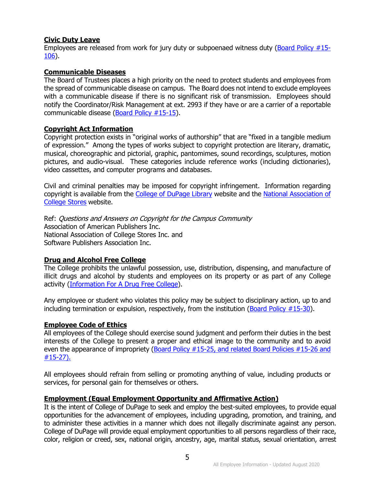#### <span id="page-8-0"></span>**Civic Duty Leave**

Employees are released from work for jury duty or subpoenaed witness duty [\(Board Policy #15-](http://www.cod.edu/about/board_of_trustees/pdf/board_policies.pdf) [106\)](http://www.cod.edu/about/board_of_trustees/pdf/board_policies.pdf).

#### <span id="page-8-1"></span>**Communicable Diseases**

The Board of Trustees places a high priority on the need to protect students and employees from the spread of communicable disease on campus. The Board does not intend to exclude employees with a communicable disease if there is no significant risk of transmission. Employees should notify the Coordinator/Risk Management at ext. 2993 if they have or are a carrier of a reportable communicable disease [\(Board Policy #15-15\)](http://www.cod.edu/about/board_of_trustees/pdf/board_policies.pdf).

#### <span id="page-8-2"></span>**Copyright Act Information**

Copyright protection exists in "original works of authorship" that are "fixed in a tangible medium of expression." Among the types of works subject to copyright protection are literary, dramatic, musical, choreographic and pictorial, graphic, pantomimes, sound recordings, sculptures, motion pictures, and audio-visual. These categories include reference works (including dictionaries), video cassettes, and computer programs and databases.

Civil and criminal penalties may be imposed for copyright infringement. Information regarding copyright is available from the [College of DuPage Library](http://www.cod.edu/library) website and the National Association of [College Stores](http://www.nacs.org/) website.

Ref: Questions and Answers on Copyright for the Campus Community Association of American Publishers Inc. National Association of College Stores Inc. and Software Publishers Association Inc.

#### <span id="page-8-3"></span>**Drug and Alcohol Free College**

The College prohibits the unlawful possession, use, distribution, dispensing, and manufacture of illicit drugs and alcohol by students and employees on its property or as part of any College activity [\(Information For A Drug Free College\)](http://cod.edu/about/humanresources/pdf/drug_free.pdf).

Any employee or student who violates this policy may be subject to disciplinary action, up to and including termination or expulsion, respectively, from the institution [\(Board Policy #15-30\)](http://www.cod.edu/about/board_of_trustees/pdf/board_policies.pdf).

#### <span id="page-8-4"></span>**Employee Code of Ethics**

All employees of the College should exercise sound judgment and perform their duties in the best interests of the College to present a proper and ethical image to the community and to avoid even the appearance of impropriety [\(Board Policy #15-25,](http://www.cod.edu/about/board_of_trustees/pdf/board_policies.pdf) and related [Board Policies #15-26 and](http://cod.edu/about/board_of_trustees/pdf/board_policies.pdf)  [#15-27\).](http://cod.edu/about/board_of_trustees/pdf/board_policies.pdf)

All employees should refrain from selling or promoting anything of value, including products or services, for personal gain for themselves or others.

#### <span id="page-8-5"></span>**Employment (Equal Employment Opportunity and Affirmative Action)**

It is the intent of College of DuPage to seek and employ the best-suited employees, to provide equal opportunities for the advancement of employees, including upgrading, promotion, and training, and to administer these activities in a manner which does not illegally discriminate against any person. College of DuPage will provide equal employment opportunities to all persons regardless of their race, color, religion or creed, sex, national origin, ancestry, age, marital status, sexual orientation, arrest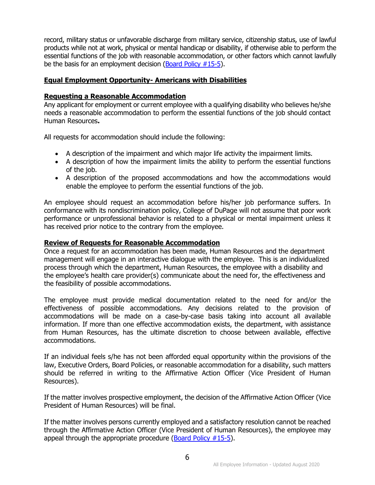record, military status or unfavorable discharge from military service, citizenship status, use of lawful products while not at work, physical or mental handicap or disability, if otherwise able to perform the essential functions of the job with reasonable accommodation, or other factors which cannot lawfully be the basis for an employment decision [\(Board Policy #15-5\)](http://www.cod.edu/about/board_of_trustees/pdf/board_policies.pdf).

#### <span id="page-9-0"></span>**Equal Employment Opportunity- Americans with Disabilities**

#### <span id="page-9-1"></span>**Requesting a Reasonable Accommodation**

Any applicant for employment or current employee with a qualifying disability who believes he/she needs a reasonable accommodation to perform the essential functions of the job should contact Human Resources**.**

All requests for accommodation should include the following:

- A description of the impairment and which major life activity the impairment limits.
- A description of how the impairment limits the ability to perform the essential functions of the job.
- A description of the proposed accommodations and how the accommodations would enable the employee to perform the essential functions of the job.

An employee should request an accommodation before his/her job performance suffers. In conformance with its nondiscrimination policy, College of DuPage will not assume that poor work performance or unprofessional behavior is related to a physical or mental impairment unless it has received prior notice to the contrary from the employee.

#### <span id="page-9-2"></span>**Review of Requests for Reasonable Accommodation**

Once a request for an accommodation has been made, Human Resources and the department management will engage in an interactive dialogue with the employee. This is an individualized process through which the department, Human Resources, the employee with a disability and the employee's health care provider(s) communicate about the need for, the effectiveness and the feasibility of possible accommodations.

The employee must provide medical documentation related to the need for and/or the effectiveness of possible accommodations. Any decisions related to the provision of accommodations will be made on a case-by-case basis taking into account all available information. If more than one effective accommodation exists, the department, with assistance from Human Resources, has the ultimate discretion to choose between available, effective accommodations.

If an individual feels s/he has not been afforded equal opportunity within the provisions of the law, Executive Orders, Board Policies, or reasonable accommodation for a disability, such matters should be referred in writing to the Affirmative Action Officer (Vice President of Human Resources).

If the matter involves prospective employment, the decision of the Affirmative Action Officer (Vice President of Human Resources) will be final.

If the matter involves persons currently employed and a satisfactory resolution cannot be reached through the Affirmative Action Officer (Vice President of Human Resources), the employee may appeal through the appropriate procedure [\(Board Policy #15-5\)](http://www.cod.edu/about/board_of_trustees/pdf/board_policies.pdf).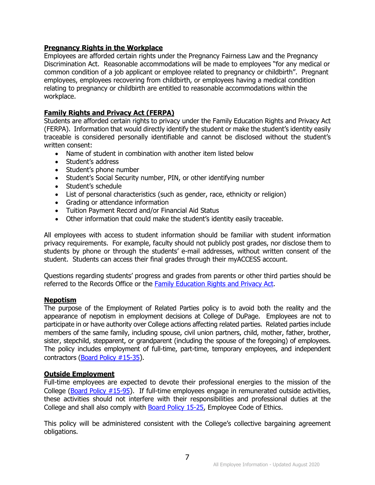#### <span id="page-10-0"></span>**Pregnancy Rights in the Workplace**

Employees are afforded certain rights under the Pregnancy Fairness Law and the Pregnancy Discrimination Act. Reasonable accommodations will be made to employees "for any medical or common condition of a job applicant or employee related to pregnancy or childbirth". Pregnant employees, employees recovering from childbirth, or employees having a medical condition relating to pregnancy or childbirth are entitled to reasonable accommodations within the workplace.

#### <span id="page-10-1"></span>**Family Rights and Privacy Act (FERPA)**

Students are afforded certain rights to privacy under the Family Education Rights and Privacy Act (FERPA). Information that would directly identify the student or make the student's identity easily traceable is considered personally identifiable and cannot be disclosed without the student's written consent:

- Name of student in combination with another item listed below
- Student's address
- Student's phone number
- Student's Social Security number, PIN, or other identifying number
- Student's schedule
- List of personal characteristics (such as gender, race, ethnicity or religion)
- Grading or attendance information
- Tuition Payment Record and/or Financial Aid Status
- Other information that could make the student's identity easily traceable.

All employees with access to student information should be familiar with student information privacy requirements. For example, faculty should not publicly post grades, nor disclose them to students by phone or through the students' e-mail addresses, without written consent of the student. Students can access their final grades through their myACCESS account.

Questions regarding students' progress and grades from parents or other third parties should be referred to the Records Office or the [Family Education Rights and Privacy Act.](http://www.cod.edu/about/consumerinformation/pdf/ferpa.pdf)

#### <span id="page-10-2"></span>**Nepotism**

The purpose of the Employment of Related Parties policy is to avoid both the reality and the appearance of nepotism in employment decisions at College of DuPage. Employees are not to participate in or have authority over College actions affecting related parties. Related parties include members of the same family, including spouse, civil union partners, child, mother, father, brother, sister, stepchild, stepparent, or grandparent (including the spouse of the foregoing) of employees. The policy includes employment of full-time, part-time, temporary employees, and independent contractors [\(Board Policy #15-35\)](http://www.cod.edu/about/board_of_trustees/pdf/board_policies.pdf).

#### <span id="page-10-3"></span>**Outside Employment**

Full-time employees are expected to devote their professional energies to the mission of the College [\(Board Policy #15-95\)](http://www.cod.edu/about/board_of_trustees/pdf/board_policies.pdf). If full-time employees engage in remunerated outside activities, these activities should not interfere with their responsibilities and professional duties at the College and shall also comply with [Board Policy 15-25,](http://www.cod.edu/about/board_of_trustees/pdf/board_policies.pdf) Employee Code of Ethics.

This policy will be administered consistent with the College's collective bargaining agreement obligations.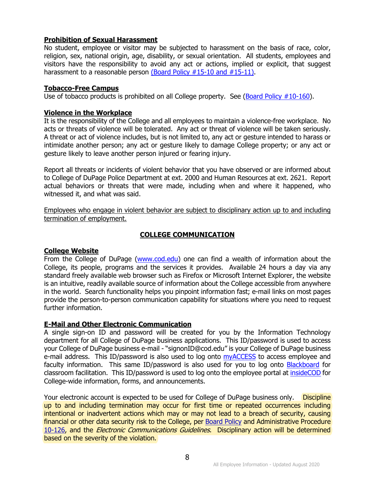#### <span id="page-11-0"></span>**Prohibition of Sexual Harassment**

No student, employee or visitor may be subjected to harassment on the basis of race, color, religion, sex, national origin, age, disability, or sexual orientation. All students, employees and visitors have the responsibility to avoid any act or actions, implied or explicit, that suggest harassment to a reasonable person [\(Board Policy #15-10 and #15-11\).](http://www.cod.edu/about/board_of_trustees/pdf/board_policies.pdf)

#### <span id="page-11-1"></span>**Tobacco-Free Campus**

Use of tobacco products is prohibited on all College property. See [\(Board Policy #10-160\)](http://www.cod.edu/about/board_of_trustees/pdf/board_policies.pdf).

#### <span id="page-11-2"></span>**Violence in the Workplace**

It is the responsibility of the College and all employees to maintain a violence-free workplace. No acts or threats of violence will be tolerated. Any act or threat of violence will be taken seriously. A threat or act of violence includes, but is not limited to, any act or gesture intended to harass or intimidate another person; any act or gesture likely to damage College property; or any act or gesture likely to leave another person injured or fearing injury.

Report all threats or incidents of violent behavior that you have observed or are informed about to College of DuPage Police Department at ext. 2000 and Human Resources at ext. 2621. Report actual behaviors or threats that were made, including when and where it happened, who witnessed it, and what was said.

Employees who engage in violent behavior are subject to disciplinary action up to and including termination of employment.

#### **COLLEGE COMMUNICATION**

#### <span id="page-11-4"></span><span id="page-11-3"></span>**College Website**

From the College of DuPage [\(www.cod.edu\)](http://www.cod.edu/) one can find a wealth of information about the College, its people, programs and the services it provides. Available 24 hours a day via any standard freely available web browser such as Firefox or Microsoft Internet Explorer, the website is an intuitive, readily available source of information about the College accessible from anywhere in the world. Search functionality helps you pinpoint information fast; e-mail links on most pages provide the person-to-person communication capability for situations where you need to request further information.

#### <span id="page-11-5"></span>**E-Mail and Other Electronic Communication**

A single sign-on ID and password will be created for you by the Information Technology department for all College of DuPage business applications. This ID/password is used to access your College of DuPage business e-mail - "signonID@cod.edu" is your College of DuPage business e-mail address. This ID/password is also used to log onto [myACCESS](http://myaccess.cod.edu/) to access employee and faculty information. This same ID/password is also used for you to log onto [Blackboard](http://bb.cod.edu/) for classroom facilitation. This ID/password is used to log onto the employee portal at [insideCOD](http://inside.cod.edu/) for College-wide information, forms, and announcements.

Your electronic account is expected to be used for College of DuPage business only. Discipline up to and including termination may occur for first time or repeated occurrences including intentional or inadvertent actions which may or may not lead to a breach of security, causing financial or other data security risk to the College, per [Board Policy](http://www.cod.edu/about/board_of_trustees/pdf/board_policies.pdf) and Administrative Procedure [10-126,](http://www.cod.edu/about/board_of_trustees/pdf/board_policies.pdf) and the *Electronic Communications Guidelines*. Disciplinary action will be determined based on the severity of the violation.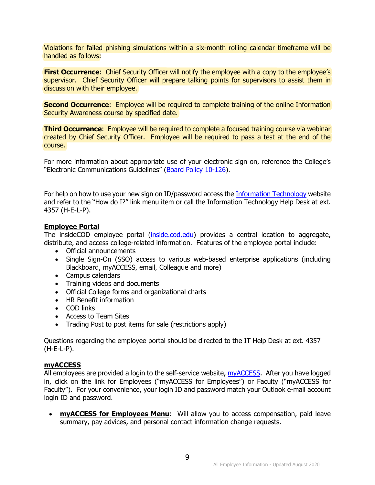Violations for failed phishing simulations within a six-month rolling calendar timeframe will be handled as follows:

**First Occurrence:** Chief Security Officer will notify the employee with a copy to the employee's supervisor. Chief Security Officer will prepare talking points for supervisors to assist them in discussion with their employee.

**Second Occurrence:** Employee will be required to complete training of the online Information Security Awareness course by specified date.

**Third Occurrence:** Employee will be required to complete a focused training course via webinar created by Chief Security Officer. Employee will be required to pass a test at the end of the course.

For more information about appropriate use of your electronic sign on, reference the College's "Electronic Communications Guidelines" [\(Board Policy 10-126\)](http://www.cod.edu/about/board_of_trustees/pdf/board_policies.pdf).

For help on how to use your new sign on ID/password access the [Information Technology](http://www.cod.edu/it/) website and refer to the "How do I?" link menu item or call the Information Technology Help Desk at ext. 4357 (H-E-L-P).

#### <span id="page-12-0"></span>**Employee Portal**

The insideCOD employee portal [\(inside.cod.edu\)](http://inside.cod.edu/) provides a central location to aggregate, distribute, and access college-related information. Features of the employee portal include:

- Official announcements
- Single Sign-On (SSO) access to various web-based enterprise applications (including Blackboard, myACCESS, email, Colleague and more)
- Campus calendars
- Training videos and documents
- Official College forms and organizational charts
- HR Benefit information
- COD links
- Access to Team Sites
- Trading Post to post items for sale (restrictions apply)

Questions regarding the employee portal should be directed to the IT Help Desk at ext. 4357 (H-E-L-P).

#### <span id="page-12-1"></span>**myACCESS**

All employees are provided a login to the self-service website, [myACCESS.](https://myaccess.cod.edu/) After you have logged in, click on the link for Employees ("myACCESS for Employees") or Faculty ("myACCESS for Faculty"). For your convenience, your login ID and password match your Outlook e-mail account login ID and password.

• **myACCESS for Employees Menu**: Will allow you to access compensation, paid leave summary, pay advices, and personal contact information change requests.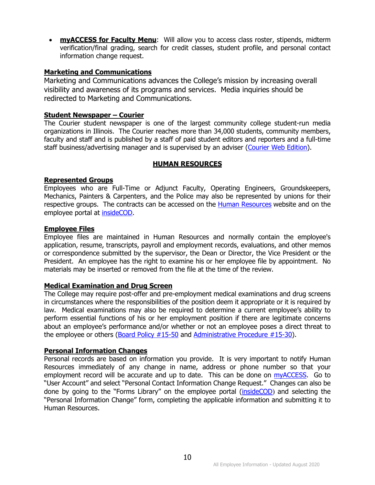**myACCESS for Faculty Menu:** Will allow you to access class roster, stipends, midterm verification/final grading, search for credit classes, student profile, and personal contact information change request.

#### <span id="page-13-0"></span>**Marketing and Communications**

Marketing and Communications advances the College's mission by increasing overall visibility and awareness of its programs and services. Media inquiries should be redirected to Marketing and Communications.

#### <span id="page-13-1"></span>**Student Newspaper – Courier**

The Courier student newspaper is one of the largest community college student-run media organizations in Illinois. The Courier reaches more than 34,000 students, community members, faculty and staff and is published by a staff of paid student editors and reporters and a full-time staff business/advertising manager and is supervised by an adviser [\(Courier Web Edition\)](http://www.cod.edu/courier).

#### **HUMAN RESOURCES**

#### <span id="page-13-3"></span><span id="page-13-2"></span>**Represented Groups**

Employees who are Full-Time or Adjunct Faculty, Operating Engineers, Groundskeepers, Mechanics, Painters & Carpenters, and the Police may also be represented by unions for their respective groups. The contracts can be accessed on the **Human Resources** website and on the employee portal at [insideCOD.](http://inside.cod.edu/)

#### <span id="page-13-4"></span>**Employee Files**

Employee files are maintained in Human Resources and normally contain the employee's application, resume, transcripts, payroll and employment records, evaluations, and other memos or correspondence submitted by the supervisor, the Dean or Director, the Vice President or the President. An employee has the right to examine his or her employee file by appointment. No materials may be inserted or removed from the file at the time of the review.

#### <span id="page-13-5"></span>**Medical Examination and Drug Screen**

The College may require post-offer and pre-employment medical examinations and drug screens in circumstances where the responsibilities of the position deem it appropriate or it is required by law. Medical examinations may also be required to determine a current employee's ability to perform essential functions of his or her employment position if there are legitimate concerns about an employee's performance and/or whether or not an employee poses a direct threat to the employee or others [\(Board Policy #15-50](http://www.cod.edu/about/board_of_trustees/pdf/board_policies.pdf) and [Administrative Procedure #15-30\)](https://inside.cod.edu/employees/Documents/AdministrativeProceduresManual.pdf).

#### <span id="page-13-6"></span>**Personal Information Changes**

Personal records are based on information you provide. It is very important to notify Human Resources immediately of any change in name, address or phone number so that your employment record will be accurate and up to date. This can be done on **myACCESS**. Go to "User Account" and select "Personal Contact Information Change Request." Changes can also be done by going to the "Forms Library" on the employee portal [\(insideCOD](http://inside.cod.edu/)) and selecting the "Personal Information Change" form, completing the applicable information and submitting it to Human Resources.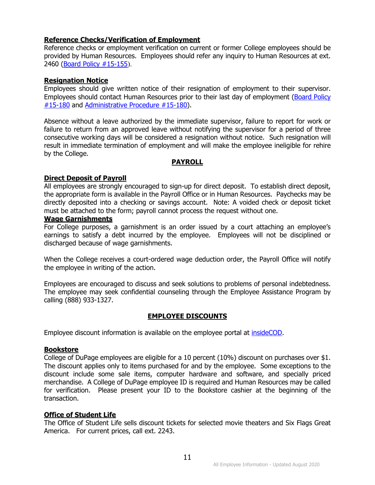#### <span id="page-14-0"></span>**Reference Checks/Verification of Employment**

Reference checks or employment verification on current or former College employees should be provided by Human Resources. Employees should refer any inquiry to Human Resources at ext. 2460 [\(Board Policy #15-155](http://www.cod.edu/about/board_of_trustees/pdf/board_policies.pdf)).

#### <span id="page-14-1"></span>**Resignation Notice**

Employees should give written notice of their resignation of employment to their supervisor. Employees should contact Human Resources prior to their last day of employment [\(Board Policy](http://www.cod.edu/about/board_of_trustees/pdf/board_policies.pdf)  [#15-180](http://www.cod.edu/about/board_of_trustees/pdf/board_policies.pdf) and [Administrative Procedure #15-180\)](https://inside.cod.edu/employees/Documents/AdministrativeProceduresManual.pdf).

Absence without a leave authorized by the immediate supervisor, failure to report for work or failure to return from an approved leave without notifying the supervisor for a period of three consecutive working days will be considered a resignation without notice. Such resignation will result in immediate termination of employment and will make the employee ineligible for rehire by the College.

#### **PAYROLL**

#### <span id="page-14-3"></span><span id="page-14-2"></span>**Direct Deposit of Payroll**

All employees are strongly encouraged to sign-up for direct deposit. To establish direct deposit, the appropriate form is available in the Payroll Office or in Human Resources. Paychecks may be directly deposited into a checking or savings account. Note: A voided check or deposit ticket must be attached to the form; payroll cannot process the request without one.

#### <span id="page-14-4"></span>**Wage Garnishments**

For College purposes, a garnishment is an order issued by a court attaching an employee's earnings to satisfy a debt incurred by the employee. Employees will not be disciplined or discharged because of wage garnishments.

When the College receives a court-ordered wage deduction order, the Payroll Office will notify the employee in writing of the action.

Employees are encouraged to discuss and seek solutions to problems of personal indebtedness. The employee may seek confidential counseling through the Employee Assistance Program by calling (888) 933-1327.

#### **EMPLOYEE DISCOUNTS**

<span id="page-14-5"></span>Employee discount information is available on the employee portal at [insideCOD.](https://inside.cod.edu/employees/Pages/default.aspx)

#### <span id="page-14-6"></span>**Bookstore**

College of DuPage employees are eligible for a 10 percent (10%) discount on purchases over \$1. The discount applies only to items purchased for and by the employee. Some exceptions to the discount include some sale items, computer hardware and software, and specially priced merchandise. A College of DuPage employee ID is required and Human Resources may be called for verification. Please present your ID to the Bookstore cashier at the beginning of the transaction.

#### <span id="page-14-7"></span>**Office of Student Life**

The Office of Student Life sells discount tickets for selected movie theaters and Six Flags Great America. For current prices, call ext. 2243.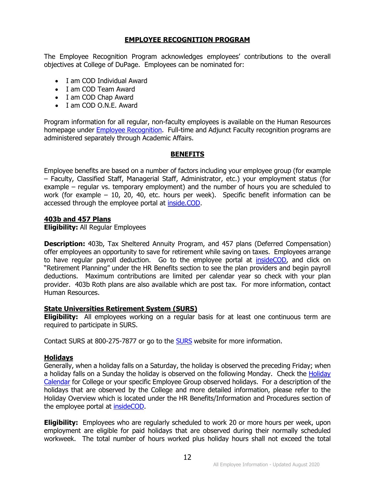#### **EMPLOYEE RECOGNITION PROGRAM**

<span id="page-15-0"></span>The Employee Recognition Program acknowledges employees' contributions to the overall objectives at College of DuPage. Employees can be nominated for:

- I am COD Individual Award
- I am COD Team Award
- I am COD Chap Award
- I am COD O.N.E. Award

Program information for all regular, non-faculty employees is available on the Human Resources homepage under [Employee Recognition.](http://www.cod.edu/about/humanresources/employee_recognition.aspx) Full-time and Adjunct Faculty recognition programs are administered separately through Academic Affairs.

#### **BENEFITS**

<span id="page-15-1"></span>Employee benefits are based on a number of factors including your employee group (for example – Faculty, Classified Staff, Managerial Staff, Administrator, etc.) your employment status (for example – regular vs. temporary employment) and the number of hours you are scheduled to work (for example – 10, 20, 40, etc. hours per week). Specific benefit information can be accessed through the employee portal at [inside.COD.](https://inside.cod.edu/)

#### <span id="page-15-2"></span>**403b and 457 Plans**

**Eligibility:** All Regular Employees

**Description:** 403b, Tax Sheltered Annuity Program, and 457 plans (Deferred Compensation) offer employees an opportunity to save for retirement while saving on taxes. Employees arrange to have regular payroll deduction. Go to the employee portal at [insideCOD,](https://inside.cod.edu/employees/Pages/default.aspx) and click on "Retirement Planning" under the HR Benefits section to see the plan providers and begin payroll deductions. Maximum contributions are limited per calendar year so check with your plan provider. 403b Roth plans are also available which are post tax. For more information, contact Human Resources.

#### <span id="page-15-3"></span>**State Universities Retirement System (SURS)**

**Eligibility:** All employees working on a regular basis for at least one continuous term are required to participate in SURS.

Contact SURS at 800-275-7877 or go to the [SURS](http://www.surs.org/) website for more information.

#### <span id="page-15-4"></span>**Holidays**

Generally, when a holiday falls on a Saturday, the holiday is observed the preceding Friday; when a holiday falls on a Sunday the holiday is observed on the following Monday. Check the Holiday [Calendar](https://inside.cod.edu/employees/Pages/default.aspx) for College or your specific Employee Group observed holidays. For a description of the holidays that are observed by the College and more detailed information, please refer to the Holiday Overview which is located under the HR Benefits/Information and Procedures section of the employee portal at [insideCOD.](http://inside.cod.edu/)

**Eligibility:** Employees who are regularly scheduled to work 20 or more hours per week, upon employment are eligible for paid holidays that are observed during their normally scheduled workweek. The total number of hours worked plus holiday hours shall not exceed the total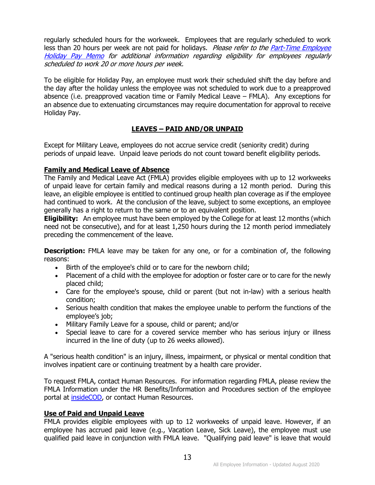regularly scheduled hours for the workweek. Employees that are regularly scheduled to work less than 20 hours per week are not paid for holidays. Please refer to the Part-Time Employee [Holiday Pay Memo](http://www.cod.edu/about/humanresources/pdf/holiday_pay_part_time_employees.pdf) for additional information regarding eligibility for employees regularly scheduled to work 20 or more hours per week.

To be eligible for Holiday Pay, an employee must work their scheduled shift the day before and the day after the holiday unless the employee was not scheduled to work due to a preapproved absence (i.e. preapproved vacation time or Family Medical Leave – FMLA). Any exceptions for an absence due to extenuating circumstances may require documentation for approval to receive Holiday Pay.

#### **LEAVES – PAID AND/OR UNPAID**

<span id="page-16-0"></span>Except for Military Leave, employees do not accrue service credit (seniority credit) during periods of unpaid leave. Unpaid leave periods do not count toward benefit eligibility periods.

#### <span id="page-16-1"></span>**Family and Medical Leave of Absence**

The Family and Medical Leave Act (FMLA) provides eligible employees with up to 12 workweeks of unpaid leave for certain family and medical reasons during a 12 month period. During this leave, an eligible employee is entitled to continued group health plan coverage as if the employee had continued to work. At the conclusion of the leave, subject to some exceptions, an employee generally has a right to return to the same or to an equivalent position.

**Eligibility:** An employee must have been employed by the College for at least 12 months (which need not be consecutive), and for at least 1,250 hours during the 12 month period immediately preceding the commencement of the leave.

**Description:** FMLA leave may be taken for any one, or for a combination of, the following reasons:

- Birth of the employee's child or to care for the newborn child;
- Placement of a child with the employee for adoption or foster care or to care for the newly placed child;
- Care for the employee's spouse, child or parent (but not in-law) with a serious health condition;
- Serious health condition that makes the employee unable to perform the functions of the employee's job;
- Military Family Leave for a spouse, child or parent; and/or
- Special leave to care for a covered service member who has serious injury or illness incurred in the line of duty (up to 26 weeks allowed).

A "serious health condition" is an injury, illness, impairment, or physical or mental condition that involves inpatient care or continuing treatment by a health care provider.

To request FMLA, contact Human Resources. For information regarding FMLA, please review the FMLA Information under the HR Benefits/Information and Procedures section of the employee portal at **insideCOD**, or contact Human Resources.

#### <span id="page-16-2"></span>**Use of Paid and Unpaid Leave**

FMLA provides eligible employees with up to 12 workweeks of unpaid leave. However, if an employee has accrued paid leave (e.g., Vacation Leave, Sick Leave), the employee must use qualified paid leave in conjunction with FMLA leave. "Qualifying paid leave" is leave that would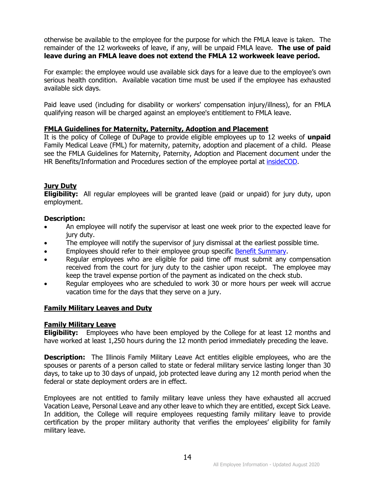otherwise be available to the employee for the purpose for which the FMLA leave is taken. The remainder of the 12 workweeks of leave, if any, will be unpaid FMLA leave. **The use of paid leave during an FMLA leave does not extend the FMLA 12 workweek leave period.**

For example: the employee would use available sick days for a leave due to the employee's own serious health condition. Available vacation time must be used if the employee has exhausted available sick days.

Paid leave used (including for disability or workers' compensation injury/illness), for an FMLA qualifying reason will be charged against an employee's entitlement to FMLA leave.

#### <span id="page-17-0"></span>**FMLA Guidelines for Maternity, Paternity, Adoption and Placement**

It is the policy of College of DuPage to provide eligible employees up to 12 weeks of **unpaid** Family Medical Leave (FML) for maternity, paternity, adoption and placement of a child. Please see the FMLA Guidelines for Maternity, Paternity, Adoption and Placement document under the HR Benefits/Information and Procedures section of the employee portal at [insideCOD.](http://inside.cod.edu/)

#### <span id="page-17-1"></span>**Jury Duty**

**Eligibility:** All regular employees will be granted leave (paid or unpaid) for jury duty, upon employment.

#### **Description:**

- An employee will notify the supervisor at least one week prior to the expected leave for jury duty.
- The employee will notify the supervisor of jury dismissal at the earliest possible time.
- Employees should refer to their employee group specific [Benefit Summary.](http://www.cod.edu/about/humanresources/benefits.aspx)
- Regular employees who are eligible for paid time off must submit any compensation received from the court for jury duty to the cashier upon receipt. The employee may keep the travel expense portion of the payment as indicated on the check stub.
- Regular employees who are scheduled to work 30 or more hours per week will accrue vacation time for the days that they serve on a jury.

#### <span id="page-17-2"></span>**Family Military Leaves and Duty**

#### <span id="page-17-3"></span>**Family Military Leave**

**Eligibility:** Employees who have been employed by the College for at least 12 months and have worked at least 1,250 hours during the 12 month period immediately preceding the leave.

**Description:** The Illinois Family Military Leave Act entitles eligible employees, who are the spouses or parents of a person called to state or federal military service lasting longer than 30 days, to take up to 30 days of unpaid, job protected leave during any 12 month period when the federal or state deployment orders are in effect.

Employees are not entitled to family military leave unless they have exhausted all accrued Vacation Leave, Personal Leave and any other leave to which they are entitled, except Sick Leave. In addition, the College will require employees requesting family military leave to provide certification by the proper military authority that verifies the employees' eligibility for family military leave.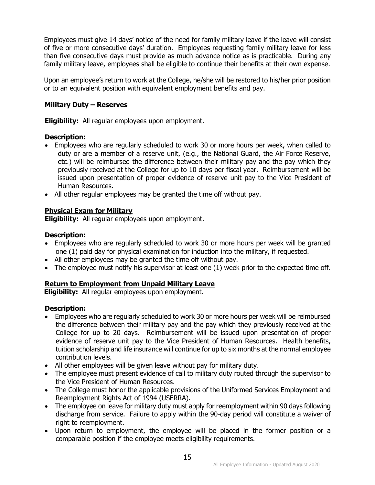Employees must give 14 days' notice of the need for family military leave if the leave will consist of five or more consecutive days' duration. Employees requesting family military leave for less than five consecutive days must provide as much advance notice as is practicable. During any family military leave, employees shall be eligible to continue their benefits at their own expense.

Upon an employee's return to work at the College, he/she will be restored to his/her prior position or to an equivalent position with equivalent employment benefits and pay.

#### <span id="page-18-0"></span>**Military Duty – Reserves**

**Eligibility:** All regular employees upon employment.

#### **Description:**

- Employees who are regularly scheduled to work 30 or more hours per week, when called to duty or are a member of a reserve unit, (e.g., the National Guard, the Air Force Reserve, etc.) will be reimbursed the difference between their military pay and the pay which they previously received at the College for up to 10 days per fiscal year. Reimbursement will be issued upon presentation of proper evidence of reserve unit pay to the Vice President of Human Resources.
- All other regular employees may be granted the time off without pay.

#### <span id="page-18-1"></span>**Physical Exam for Military**

**Eligibility:** All regular employees upon employment.

#### **Description:**

- Employees who are regularly scheduled to work 30 or more hours per week will be granted one (1) paid day for physical examination for induction into the military, if requested.
- All other employees may be granted the time off without pay.
- The employee must notify his supervisor at least one (1) week prior to the expected time off.

#### <span id="page-18-2"></span>**Return to Employment from Unpaid Military Leave**

**Eligibility:** All regular employees upon employment.

#### **Description:**

- Employees who are regularly scheduled to work 30 or more hours per week will be reimbursed the difference between their military pay and the pay which they previously received at the College for up to 20 days. Reimbursement will be issued upon presentation of proper evidence of reserve unit pay to the Vice President of Human Resources. Health benefits, tuition scholarship and life insurance will continue for up to six months at the normal employee contribution levels.
- All other employees will be given leave without pay for military duty.
- The employee must present evidence of call to military duty routed through the supervisor to the Vice President of Human Resources.
- The College must honor the applicable provisions of the Uniformed Services Employment and Reemployment Rights Act of 1994 (USERRA).
- The employee on leave for military duty must apply for reemployment within 90 days following discharge from service. Failure to apply within the 90-day period will constitute a waiver of right to reemployment.
- Upon return to employment, the employee will be placed in the former position or a comparable position if the employee meets eligibility requirements.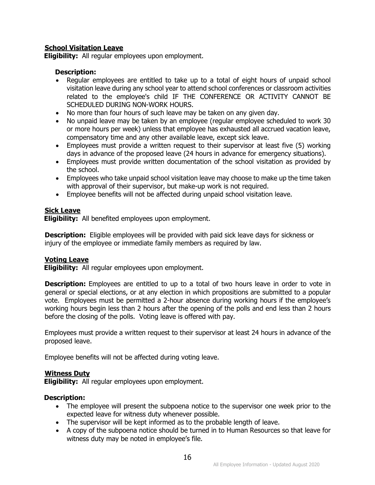#### <span id="page-19-0"></span>**School Visitation Leave**

**Eligibility:** All regular employees upon employment.

#### **Description:**

- Regular employees are entitled to take up to a total of eight hours of unpaid school visitation leave during any school year to attend school conferences or classroom activities related to the employee's child IF THE CONFERENCE OR ACTIVITY CANNOT BE SCHEDULED DURING NON-WORK HOURS.
- No more than four hours of such leave may be taken on any given day.
- No unpaid leave may be taken by an employee (regular employee scheduled to work 30 or more hours per week) unless that employee has exhausted all accrued vacation leave, compensatory time and any other available leave, except sick leave.
- Employees must provide a written request to their supervisor at least five (5) working days in advance of the proposed leave (24 hours in advance for emergency situations).
- Employees must provide written documentation of the school visitation as provided by the school.
- Employees who take unpaid school visitation leave may choose to make up the time taken with approval of their supervisor, but make-up work is not required.
- Employee benefits will not be affected during unpaid school visitation leave.

#### <span id="page-19-1"></span>**Sick Leave**

**Eligibility:** All benefited employees upon employment.

**Description:** Eligible employees will be provided with paid sick leave days for sickness or injury of the employee or immediate family members as required by law.

#### <span id="page-19-2"></span>**Voting Leave**

**Eligibility:** All regular employees upon employment.

**Description:** Employees are entitled to up to a total of two hours leave in order to vote in general or special elections, or at any election in which propositions are submitted to a popular vote. Employees must be permitted a 2-hour absence during working hours if the employee's working hours begin less than 2 hours after the opening of the polls and end less than 2 hours before the closing of the polls. Voting leave is offered with pay.

Employees must provide a written request to their supervisor at least 24 hours in advance of the proposed leave.

Employee benefits will not be affected during voting leave.

#### <span id="page-19-3"></span>**Witness Duty**

**Eligibility:** All regular employees upon employment.

#### **Description:**

- The employee will present the subpoena notice to the supervisor one week prior to the expected leave for witness duty whenever possible.
- The supervisor will be kept informed as to the probable length of leave.
- A copy of the subpoena notice should be turned in to Human Resources so that leave for witness duty may be noted in employee's file.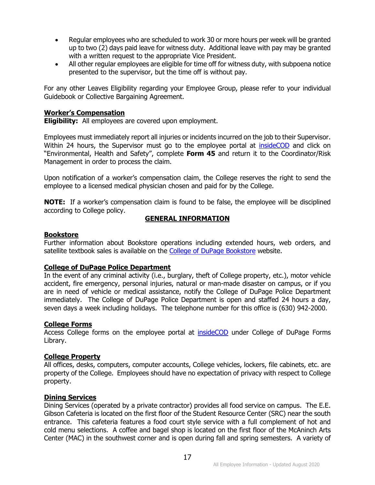- Regular employees who are scheduled to work 30 or more hours per week will be granted up to two (2) days paid leave for witness duty. Additional leave with pay may be granted with a written request to the appropriate Vice President.
- All other regular employees are eligible for time off for witness duty, with subpoena notice presented to the supervisor, but the time off is without pay.

For any other Leaves Eligibility regarding your Employee Group, please refer to your individual Guidebook or Collective Bargaining Agreement.

#### <span id="page-20-0"></span>**Worker's Compensation**

**Eligibility:** All employees are covered upon employment.

Employees must immediately report all injuries or incidents incurred on the job to their Supervisor. Within 24 hours, the Supervisor must go to the employee portal at [insideCOD](https://inside.cod.edu/employees/Pages/default.aspx) and click on "Environmental, Health and Safety", complete **Form 45** and return it to the Coordinator/Risk Management in order to process the claim.

Upon notification of a worker's compensation claim, the College reserves the right to send the employee to a licensed medical physician chosen and paid for by the College.

<span id="page-20-1"></span>**NOTE:** If a worker's compensation claim is found to be false, the employee will be disciplined according to College policy.

#### **GENERAL INFORMATION**

#### <span id="page-20-2"></span>**Bookstore**

Further information about Bookstore operations including extended hours, web orders, and satellite textbook sales is available on the [College of DuPage Bookstore](http://www.cod.edu/academics/resources/bookstore.aspx) website.

#### <span id="page-20-3"></span>**College of DuPage Police Department**

In the event of any criminal activity (i.e., burglary, theft of College property, etc.), motor vehicle accident, fire emergency, personal injuries, natural or man-made disaster on campus, or if you are in need of vehicle or medical assistance, notify the College of DuPage Police Department immediately. The College of DuPage Police Department is open and staffed 24 hours a day, seven days a week including holidays. The telephone number for this office is (630) 942-2000.

#### <span id="page-20-4"></span>**College Forms**

Access College forms on the employee portal at [insideCOD](https://inside.cod.edu/) under College of DuPage Forms Library.

#### <span id="page-20-5"></span>**College Property**

All offices, desks, computers, computer accounts, College vehicles, lockers, file cabinets, etc. are property of the College. Employees should have no expectation of privacy with respect to College property.

#### <span id="page-20-6"></span>**Dining Services**

Dining Services (operated by a private contractor) provides all food service on campus. The E.E. Gibson Cafeteria is located on the first floor of the Student Resource Center (SRC) near the south entrance. This cafeteria features a food court style service with a full complement of hot and cold menu selections. A coffee and bagel shop is located on the first floor of the McAninch Arts Center (MAC) in the southwest corner and is open during fall and spring semesters. A variety of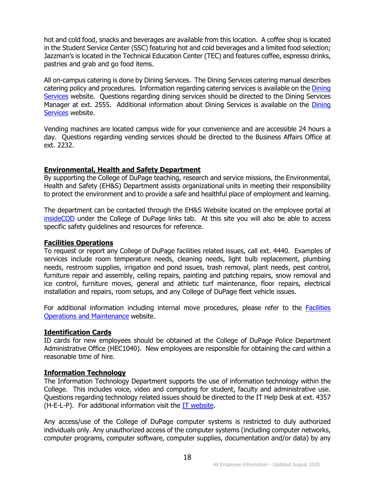hot and cold food, snacks and beverages are available from this location. A coffee shop is located in the Student Service Center (SSC) featuring hot and cold beverages and a limited food selection; Jazzman's is located in the Technical Education Center (TEC) and features coffee, espresso drinks, pastries and grab and go food items.

All on-campus catering is done by Dining Services. The Dining Services catering manual describes catering policy and procedures. Information regarding catering services is available on the [Dining](http://cod.edu/about/cafeteria/)  [Services](http://cod.edu/about/cafeteria/) website. Questions regarding dining services should be directed to the Dining Services Manager at ext. 2555. Additional information about [Dining](http://cod.edu/about/cafeteria/) Services is available on the Dining [Services](http://cod.edu/about/cafeteria/) website.

Vending machines are located campus wide for your convenience and are accessible 24 hours a day. Questions regarding vending services should be directed to the Business Affairs Office at ext. 2232.

#### <span id="page-21-0"></span>**Environmental, Health and Safety Department**

By supporting the College of DuPage teaching, research and service missions, the Environmental, Health and Safety (EH&S) Department assists organizational units in meeting their responsibility to protect the environment and to provide a safe and healthful place of employment and learning.

The department can be contacted through the EH&S Website located on the employee portal at [insideCOD](https://inside.cod.edu/employees/Pages/default.aspx) under the College of DuPage links tab. At this site you will also be able to access specific safety guidelines and resources for reference.

#### <span id="page-21-1"></span>**Facilities Operations**

To request or report any College of DuPage facilities related issues, call ext. 4440. Examples of services include room temperature needs, cleaning needs, light bulb replacement, plumbing needs, restroom supplies, irrigation and pond issues, trash removal, plant needs, pest control, furniture repair and assembly, ceiling repairs, painting and patching repairs, snow removal and ice control, furniture moves, general and athletic turf maintenance, floor repairs, electrical installation and repairs, room setups, and any College of DuPage fleet vehicle issues.

For additional information including internal move procedures, please refer to the [Facilities](http://www.cod.edu/about/facilities/operations.aspx)  [Operations and Maintenance](http://www.cod.edu/about/facilities/operations.aspx) website.

#### <span id="page-21-2"></span>**Identification Cards**

ID cards for new employees should be obtained at the College of DuPage Police Department Administrative Office (HEC1040). New employees are responsible for obtaining the card within a reasonable time of hire.

#### <span id="page-21-3"></span>**Information Technology**

The Information Technology Department supports the use of information technology within the College. This includes voice, video and computing for student, faculty and administrative use. Questions regarding technology related issues should be directed to the IT Help Desk at ext. 4357 (H-E-L-P). For additional information visit the [IT website.](http://www.cod.edu/IT)

Any access/use of the College of DuPage computer systems is restricted to duly authorized individuals only. Any unauthorized access of the computer systems (including computer networks, computer programs, computer software, computer supplies, documentation and/or data) by any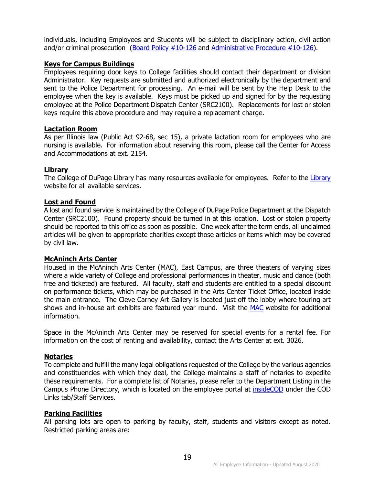individuals, including Employees and Students will be subject to disciplinary action, civil action and/or criminal prosecution [\(Board Policy #10-126](http://www.cod.edu/about/board_of_trustees/pdf/board_policies.pdf) and [Administrative Procedure #10-126\)](https://inside.cod.edu/employees/Documents/AdministrativeProceduresManual.pdf).

#### <span id="page-22-0"></span>**Keys for Campus Buildings**

Employees requiring door keys to College facilities should contact their department or division Administrator. Key requests are submitted and authorized electronically by the department and sent to the Police Department for processing. An e-mail will be sent by the Help Desk to the employee when the key is available. Keys must be picked up and signed for by the requesting employee at the Police Department Dispatch Center (SRC2100). Replacements for lost or stolen keys require this above procedure and may require a replacement charge.

#### <span id="page-22-1"></span>**Lactation Room**

As per Illinois law (Public Act 92-68, sec 15), a private lactation room for employees who are nursing is available. For information about reserving this room, please call the Center for Access and Accommodations at ext. 2154.

#### <span id="page-22-2"></span>**Library**

The College of DuPage [Library](http://www.cod.edu/library) has many resources available for employees. Refer to the Library website for all available services.

#### <span id="page-22-3"></span>**Lost and Found**

A lost and found service is maintained by the College of DuPage Police Department at the Dispatch Center (SRC2100). Found property should be turned in at this location. Lost or stolen property should be reported to this office as soon as possible. One week after the term ends, all unclaimed articles will be given to appropriate charities except those articles or items which may be covered by civil law.

#### <span id="page-22-4"></span>**McAninch Arts Center**

Housed in the McAninch Arts Center (MAC), East Campus, are three theaters of varying sizes where a wide variety of College and professional performances in theater, music and dance (both free and ticketed) are featured. All faculty, staff and students are entitled to a special discount on performance tickets, which may be purchased in the Arts Center Ticket Office, located inside the main entrance. The Cleve Carney Art Gallery is located just off the lobby where touring art shows and in-house art exhibits are featured year round. Visit the [MAC](http://www.atthemac.org/) website for additional information.

Space in the McAninch Arts Center may be reserved for special events for a rental fee. For information on the cost of renting and availability, contact the Arts Center at ext. 3026.

#### <span id="page-22-5"></span>**Notaries**

To complete and fulfill the many legal obligations requested of the College by the various agencies and constituencies with which they deal, the College maintains a staff of notaries to expedite these requirements. For a complete list of Notaries, please refer to the Department Listing in the Campus Phone Directory, which is located on the employee portal at [insideCOD](http://inside.cod.edu/) under the COD Links tab/Staff Services.

#### <span id="page-22-6"></span>**Parking Facilities**

All parking lots are open to parking by faculty, staff, students and visitors except as noted. Restricted parking areas are: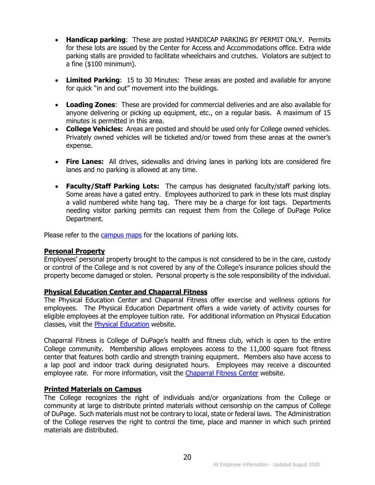- **Handicap parking**: These are posted HANDICAP PARKING BY PERMIT ONLY. Permits for these lots are issued by the Center for Access and Accommodations office. Extra wide parking stalls are provided to facilitate wheelchairs and crutches. Violators are subject to a fine (\$100 minimum).
- **Limited Parking**: 15 to 30 Minutes: These areas are posted and available for anyone for quick "in and out" movement into the buildings.
- **Loading Zones**: These are provided for commercial deliveries and are also available for anyone delivering or picking up equipment, etc., on a regular basis. A maximum of 15 minutes is permitted in this area.
- **College Vehicles:** Areas are posted and should be used only for College owned vehicles. Privately owned vehicles will be ticketed and/or towed from these areas at the owner's expense.
- **Fire Lanes:** All drives, sidewalks and driving lanes in parking lots are considered fire lanes and no parking is allowed at any time.
- **Faculty/Staff Parking Lots:** The campus has designated faculty/staff parking lots. Some areas have a gated entry. Employees authorized to park in these lots must display a valid numbered white hang tag. There may be a charge for lost tags. Departments needing visitor parking permits can request them from the College of DuPage Police Department.

Please refer to the [campus maps](http://www.cod.edu/about/maps_and_directions/) for the locations of parking lots.

#### <span id="page-23-0"></span>**Personal Property**

Employees' personal property brought to the campus is not considered to be in the care, custody or control of the College and is not covered by any of the College's insurance policies should the property become damaged or stolen. Personal property is the sole responsibility of the individual.

#### <span id="page-23-1"></span>**Physical Education Center and Chaparral Fitness**

The Physical Education Center and Chaparral Fitness offer exercise and wellness options for employees. The Physical Education Department offers a wide variety of activity courses for eligible employees at the employee tuition rate. For additional information on Physical Education classes, visit the **Physical Education** website.

Chaparral Fitness is College of DuPage's health and fitness club, which is open to the entire College community. Membership allows employees access to the 11,000 square foot fitness center that features both cardio and strength training equipment. Members also have access to a lap pool and indoor track during designated hours. Employees may receive a discounted employee rate. For more information, visit the [Chaparral Fitness Center](http://www.cod.edu/pe_center/chaparral_fitness/index.aspx) website.

#### <span id="page-23-2"></span>**Printed Materials on Campus**

The College recognizes the right of individuals and/or organizations from the College or community at large to distribute printed materials without censorship on the campus of College of DuPage. Such materials must not be contrary to local, state or federal laws. The Administration of the College reserves the right to control the time, place and manner in which such printed materials are distributed.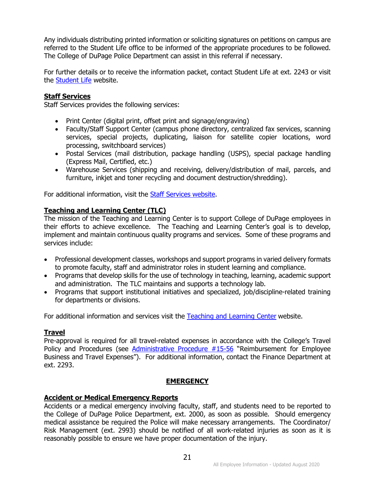Any individuals distributing printed information or soliciting signatures on petitions on campus are referred to the Student Life office to be informed of the appropriate procedures to be followed. The College of DuPage Police Department can assist in this referral if necessary.

For further details or to receive the information packet, contact Student Life at ext. 2243 or visit the [Student Life](http://cod.edu/student_life/print_guidelines.aspx) website.

#### <span id="page-24-0"></span>**Staff Services**

Staff Services provides the following services:

- Print Center (digital print, offset print and signage/engraving)
- Faculty/Staff Support Center (campus phone directory, centralized fax services, scanning services, special projects, duplicating, liaison for satellite copier locations, word processing, switchboard services)
- Postal Services (mail distribution, package handling (USPS), special package handling (Express Mail, Certified, etc.)
- Warehouse Services (shipping and receiving, delivery/distribution of mail, parcels, and furniture, inkjet and toner recycling and document destruction/shredding).

For additional information, visit the [Staff Services website.](http://www.cod.edu/dept/staffservices)

#### <span id="page-24-1"></span>**Teaching and Learning Center (TLC)**

The mission of the Teaching and Learning Center is to support College of DuPage employees in their efforts to achieve excellence. The Teaching and Learning Center's goal is to develop, implement and maintain continuous quality programs and services. Some of these programs and services include:

- Professional development classes, workshops and support programs in varied delivery formats to promote faculty, staff and administrator roles in student learning and compliance.
- Programs that develop skills for the use of technology in teaching, learning, academic support and administration. The TLC maintains and supports a technology lab.
- Programs that support institutional initiatives and specialized, job/discipline-related training for departments or divisions.

For additional information and services visit the [Teaching and Learning Center](http://www.cod.edu/tlc) website.

#### <span id="page-24-2"></span>**Travel**

Pre-approval is required for all travel-related expenses in accordance with the College's Travel Policy and Procedures (see *Administrative Procedure #15-56* "Reimbursement for Employee Business and Travel Expenses"). For additional information, contact the Finance Department at ext. 2293.

#### **EMERGENCY**

#### <span id="page-24-4"></span><span id="page-24-3"></span>**Accident or Medical Emergency Reports**

Accidents or a medical emergency involving faculty, staff, and students need to be reported to the College of DuPage Police Department, ext. 2000, as soon as possible. Should emergency medical assistance be required the Police will make necessary arrangements. The Coordinator/ Risk Management (ext. 2993) should be notified of all work-related injuries as soon as it is reasonably possible to ensure we have proper documentation of the injury.